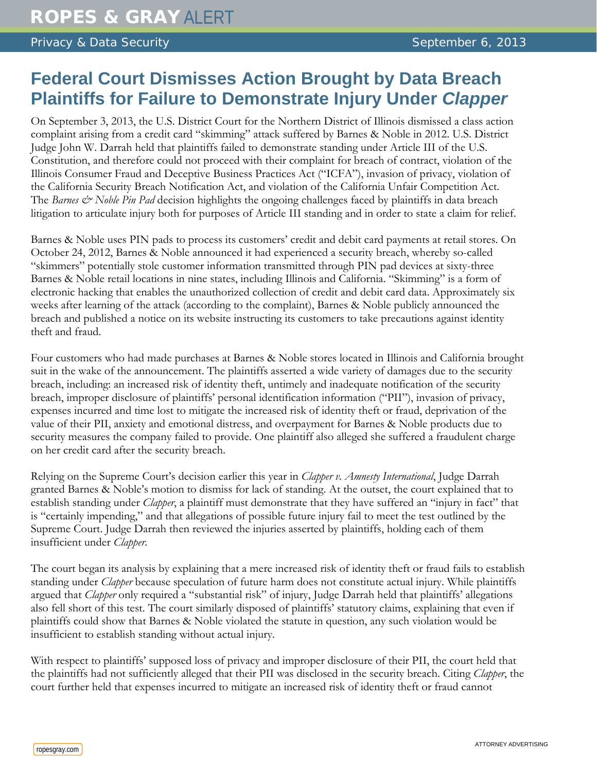## **Federal Court Dismisses Action Brought by Data Breach Plaintiffs for Failure to Demonstrate Injury Under** *Clapper*

On September 3, 2013, the U.S. District Court for the Northern District of Illinois dismissed a class action complaint arising from a credit card "skimming" attack suffered by Barnes & Noble in 2012. U.S. District Judge John W. Darrah held that plaintiffs failed to demonstrate standing under Article III of the U.S. Constitution, and therefore could not proceed with their complaint for breach of contract, violation of the Illinois Consumer Fraud and Deceptive Business Practices Act ("ICFA"), invasion of privacy, violation of the California Security Breach Notification Act, and violation of the California Unfair Competition Act. The *Barnes & Noble Pin Pad* decision highlights the ongoing challenges faced by plaintiffs in data breach litigation to articulate injury both for purposes of Article III standing and in order to state a claim for relief.

Barnes & Noble uses PIN pads to process its customers' credit and debit card payments at retail stores. On October 24, 2012, Barnes & Noble announced it had experienced a security breach, whereby so-called "skimmers" potentially stole customer information transmitted through PIN pad devices at sixty-three Barnes & Noble retail locations in nine states, including Illinois and California. "Skimming" is a form of electronic hacking that enables the unauthorized collection of credit and debit card data. Approximately six weeks after learning of the attack (according to the complaint), Barnes & Noble publicly announced the breach and published a notice on its website instructing its customers to take precautions against identity theft and fraud.

Four customers who had made purchases at Barnes & Noble stores located in Illinois and California brought suit in the wake of the announcement. The plaintiffs asserted a wide variety of damages due to the security breach, including: an increased risk of identity theft, untimely and inadequate notification of the security breach, improper disclosure of plaintiffs' personal identification information ("PII"), invasion of privacy, expenses incurred and time lost to mitigate the increased risk of identity theft or fraud, deprivation of the value of their PII, anxiety and emotional distress, and overpayment for Barnes & Noble products due to security measures the company failed to provide. One plaintiff also alleged she suffered a fraudulent charge on her credit card after the security breach.

Relying on the Supreme Court's decision earlier this year in *Clapper v. Amnesty International*, Judge Darrah granted Barnes & Noble's motion to dismiss for lack of standing. At the outset, the court explained that to establish standing under *Clapper*, a plaintiff must demonstrate that they have suffered an "injury in fact" that is "certainly impending," and that allegations of possible future injury fail to meet the test outlined by the Supreme Court. Judge Darrah then reviewed the injuries asserted by plaintiffs, holding each of them insufficient under *Clapper*.

The court began its analysis by explaining that a mere increased risk of identity theft or fraud fails to establish standing under *Clapper* because speculation of future harm does not constitute actual injury. While plaintiffs argued that *Clapper* only required a "substantial risk" of injury, Judge Darrah held that plaintiffs' allegations also fell short of this test. The court similarly disposed of plaintiffs' statutory claims, explaining that even if plaintiffs could show that Barnes & Noble violated the statute in question, any such violation would be insufficient to establish standing without actual injury.

With respect to plaintiffs' supposed loss of privacy and improper disclosure of their PII, the court held that the plaintiffs had not sufficiently alleged that their PII was disclosed in the security breach. Citing *Clapper*, the court further held that expenses incurred to mitigate an increased risk of identity theft or fraud cannot